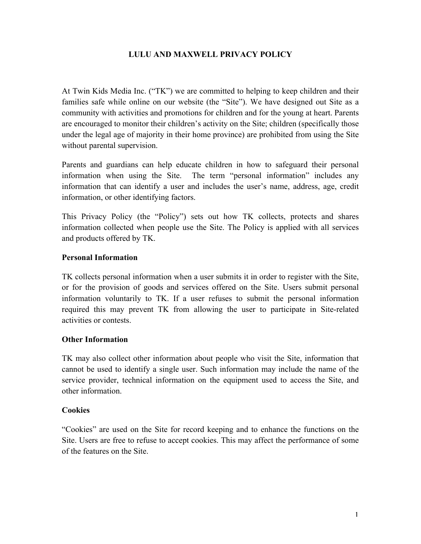### **LULU AND MAXWELL PRIVACY POLICY**

At Twin Kids Media Inc. ("TK") we are committed to helping to keep children and their families safe while online on our website (the "Site"). We have designed out Site as a community with activities and promotions for children and for the young at heart. Parents are encouraged to monitor their children's activity on the Site; children (specifically those under the legal age of majority in their home province) are prohibited from using the Site without parental supervision.

Parents and guardians can help educate children in how to safeguard their personal information when using the Site. The term "personal information" includes any information that can identify a user and includes the user's name, address, age, credit information, or other identifying factors.

This Privacy Policy (the "Policy") sets out how TK collects, protects and shares information collected when people use the Site. The Policy is applied with all services and products offered by TK.

#### **Personal Information**

TK collects personal information when a user submits it in order to register with the Site, or for the provision of goods and services offered on the Site. Users submit personal information voluntarily to TK. If a user refuses to submit the personal information required this may prevent TK from allowing the user to participate in Site-related activities or contests.

#### **Other Information**

TK may also collect other information about people who visit the Site, information that cannot be used to identify a single user. Such information may include the name of the service provider, technical information on the equipment used to access the Site, and other information.

#### **Cookies**

"Cookies" are used on the Site for record keeping and to enhance the functions on the Site. Users are free to refuse to accept cookies. This may affect the performance of some of the features on the Site.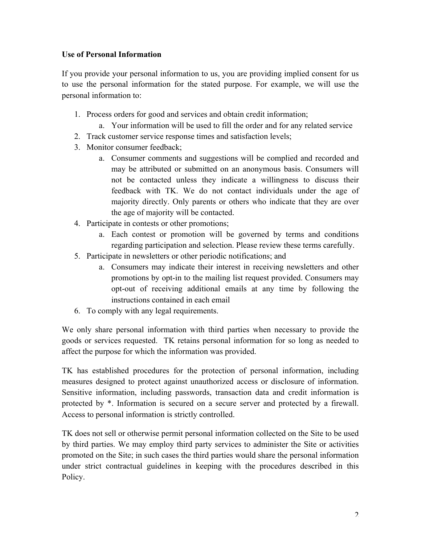# **Use of Personal Information**

If you provide your personal information to us, you are providing implied consent for us to use the personal information for the stated purpose. For example, we will use the personal information to:

- 1. Process orders for good and services and obtain credit information;
	- a. Your information will be used to fill the order and for any related service
- 2. Track customer service response times and satisfaction levels;
- 3. Monitor consumer feedback;
	- a. Consumer comments and suggestions will be complied and recorded and may be attributed or submitted on an anonymous basis. Consumers will not be contacted unless they indicate a willingness to discuss their feedback with TK. We do not contact individuals under the age of majority directly. Only parents or others who indicate that they are over the age of majority will be contacted.
- 4. Participate in contests or other promotions;
	- a. Each contest or promotion will be governed by terms and conditions regarding participation and selection. Please review these terms carefully.
- 5. Participate in newsletters or other periodic notifications; and
	- a. Consumers may indicate their interest in receiving newsletters and other promotions by opt-in to the mailing list request provided. Consumers may opt-out of receiving additional emails at any time by following the instructions contained in each email
- 6. To comply with any legal requirements.

We only share personal information with third parties when necessary to provide the goods or services requested. TK retains personal information for so long as needed to affect the purpose for which the information was provided.

TK has established procedures for the protection of personal information, including measures designed to protect against unauthorized access or disclosure of information. Sensitive information, including passwords, transaction data and credit information is protected by \*. Information is secured on a secure server and protected by a firewall. Access to personal information is strictly controlled.

TK does not sell or otherwise permit personal information collected on the Site to be used by third parties. We may employ third party services to administer the Site or activities promoted on the Site; in such cases the third parties would share the personal information under strict contractual guidelines in keeping with the procedures described in this Policy.